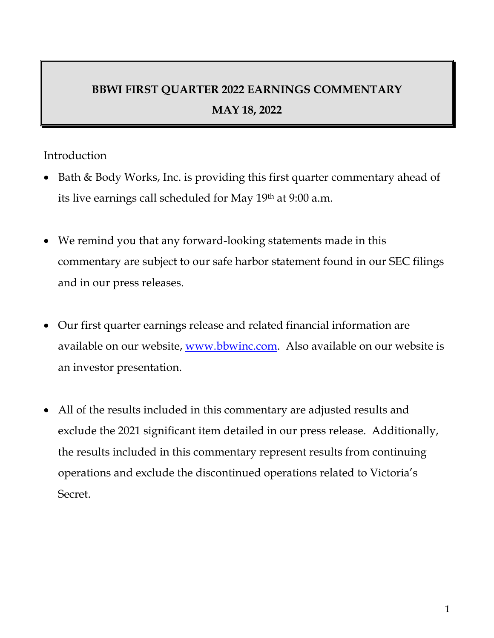# **BBWI FIRST QUARTER 2022 EARNINGS COMMENTARY MAY 18, 2022**

## **Introduction**

- Bath & Body Works, Inc. is providing this first quarter commentary ahead of its live earnings call scheduled for May 19th at 9:00 a.m.
- We remind you that any forward-looking statements made in this commentary are subject to our safe harbor statement found in our SEC filings and in our press releases.
- Our first quarter earnings release and related financial information are available on our website, www.bbwinc.com. Also available on our website is an investor presentation.
- All of the results included in this commentary are adjusted results and exclude the 2021 significant item detailed in our press release. Additionally, the results included in this commentary represent results from continuing operations and exclude the discontinued operations related to Victoria's Secret.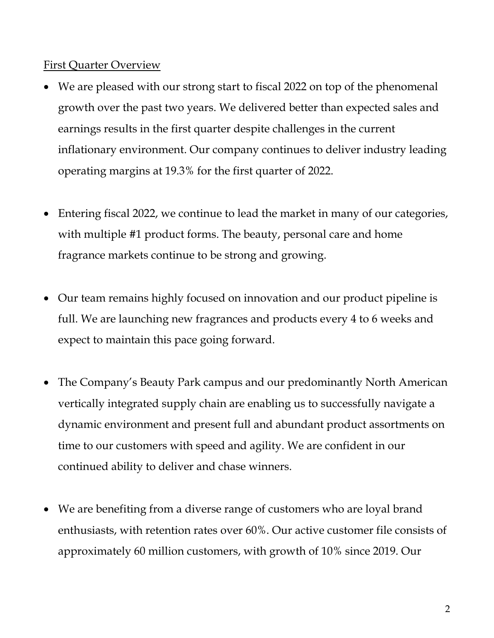## First Quarter Overview

- We are pleased with our strong start to fiscal 2022 on top of the phenomenal growth over the past two years. We delivered better than expected sales and earnings results in the first quarter despite challenges in the current inflationary environment. Our company continues to deliver industry leading operating margins at 19.3% for the first quarter of 2022.
- Entering fiscal 2022, we continue to lead the market in many of our categories, with multiple #1 product forms. The beauty, personal care and home fragrance markets continue to be strong and growing.
- Our team remains highly focused on innovation and our product pipeline is full. We are launching new fragrances and products every 4 to 6 weeks and expect to maintain this pace going forward.
- The Company's Beauty Park campus and our predominantly North American vertically integrated supply chain are enabling us to successfully navigate a dynamic environment and present full and abundant product assortments on time to our customers with speed and agility. We are confident in our continued ability to deliver and chase winners.
- We are benefiting from a diverse range of customers who are loyal brand enthusiasts, with retention rates over 60%. Our active customer file consists of approximately 60 million customers, with growth of 10% since 2019. Our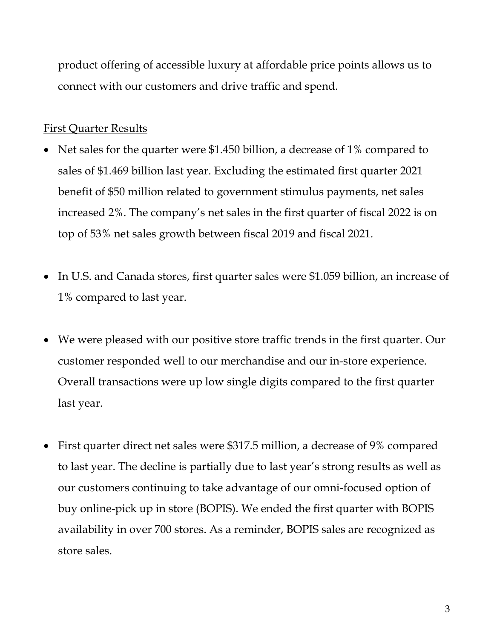product offering of accessible luxury at affordable price points allows us to connect with our customers and drive traffic and spend.

## First Quarter Results

- Net sales for the quarter were \$1.450 billion, a decrease of 1% compared to sales of \$1.469 billion last year. Excluding the estimated first quarter 2021 benefit of \$50 million related to government stimulus payments, net sales increased 2%. The company's net sales in the first quarter of fiscal 2022 is on top of 53% net sales growth between fiscal 2019 and fiscal 2021.
- In U.S. and Canada stores, first quarter sales were \$1.059 billion, an increase of 1% compared to last year.
- We were pleased with our positive store traffic trends in the first quarter. Our customer responded well to our merchandise and our in-store experience. Overall transactions were up low single digits compared to the first quarter last year.
- First quarter direct net sales were \$317.5 million, a decrease of 9% compared to last year. The decline is partially due to last year's strong results as well as our customers continuing to take advantage of our omni-focused option of buy online-pick up in store (BOPIS). We ended the first quarter with BOPIS availability in over 700 stores. As a reminder, BOPIS sales are recognized as store sales.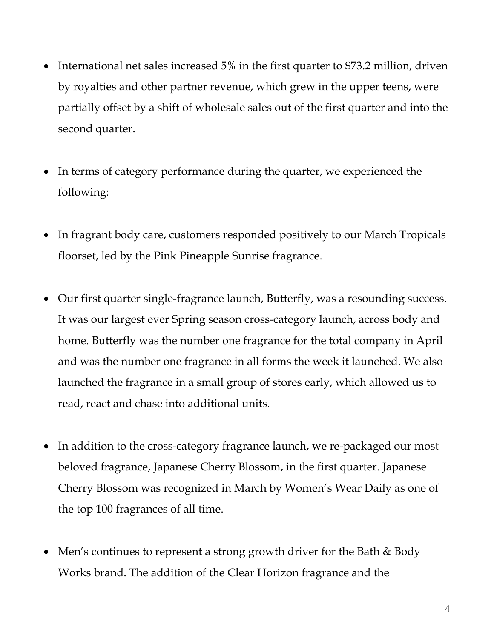- International net sales increased 5% in the first quarter to \$73.2 million, driven by royalties and other partner revenue, which grew in the upper teens, were partially offset by a shift of wholesale sales out of the first quarter and into the second quarter.
- In terms of category performance during the quarter, we experienced the following:
- In fragrant body care, customers responded positively to our March Tropicals floorset, led by the Pink Pineapple Sunrise fragrance.
- Our first quarter single-fragrance launch, Butterfly, was a resounding success. It was our largest ever Spring season cross-category launch, across body and home. Butterfly was the number one fragrance for the total company in April and was the number one fragrance in all forms the week it launched. We also launched the fragrance in a small group of stores early, which allowed us to read, react and chase into additional units.
- In addition to the cross-category fragrance launch, we re-packaged our most beloved fragrance, Japanese Cherry Blossom, in the first quarter. Japanese Cherry Blossom was recognized in March by Women's Wear Daily as one of the top 100 fragrances of all time.
- Men's continues to represent a strong growth driver for the Bath & Body Works brand. The addition of the Clear Horizon fragrance and the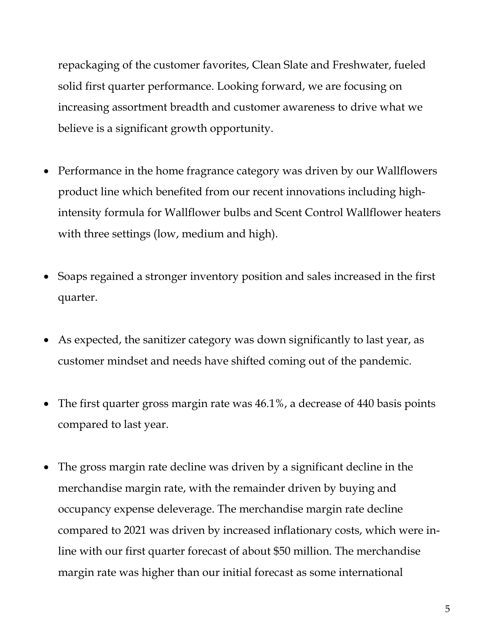repackaging of the customer favorites, Clean Slate and Freshwater, fueled solid first quarter performance. Looking forward, we are focusing on increasing assortment breadth and customer awareness to drive what we believe is a significant growth opportunity.

- Performance in the home fragrance category was driven by our Wallflowers product line which benefited from our recent innovations including highintensity formula for Wallflower bulbs and Scent Control Wallflower heaters with three settings (low, medium and high).
- Soaps regained a stronger inventory position and sales increased in the first quarter.
- As expected, the sanitizer category was down significantly to last year, as customer mindset and needs have shifted coming out of the pandemic.
- The first quarter gross margin rate was 46.1%, a decrease of 440 basis points compared to last year.
- The gross margin rate decline was driven by a significant decline in the merchandise margin rate, with the remainder driven by buying and occupancy expense deleverage. The merchandise margin rate decline compared to 2021 was driven by increased inflationary costs, which were inline with our first quarter forecast of about \$50 million. The merchandise margin rate was higher than our initial forecast as some international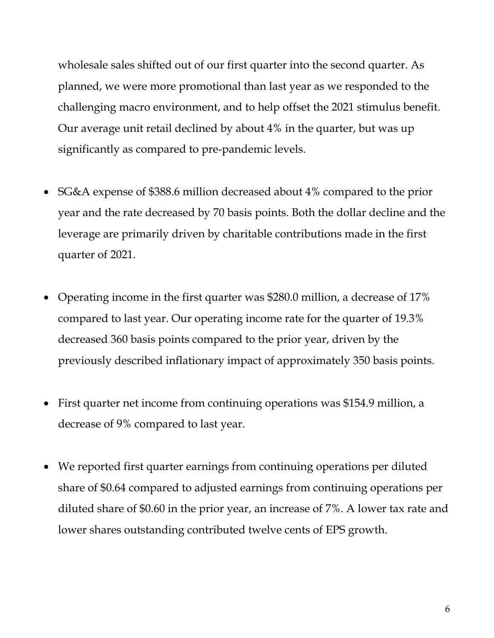wholesale sales shifted out of our first quarter into the second quarter. As planned, we were more promotional than last year as we responded to the challenging macro environment, and to help offset the 2021 stimulus benefit. Our average unit retail declined by about 4% in the quarter, but was up significantly as compared to pre-pandemic levels.

- SG&A expense of \$388.6 million decreased about 4% compared to the prior year and the rate decreased by 70 basis points. Both the dollar decline and the leverage are primarily driven by charitable contributions made in the first quarter of 2021.
- Operating income in the first quarter was \$280.0 million, a decrease of 17% compared to last year. Our operating income rate for the quarter of 19.3% decreased 360 basis points compared to the prior year, driven by the previously described inflationary impact of approximately 350 basis points.
- First quarter net income from continuing operations was \$154.9 million, a decrease of 9% compared to last year.
- We reported first quarter earnings from continuing operations per diluted share of \$0.64 compared to adjusted earnings from continuing operations per diluted share of \$0.60 in the prior year, an increase of 7%. A lower tax rate and lower shares outstanding contributed twelve cents of EPS growth.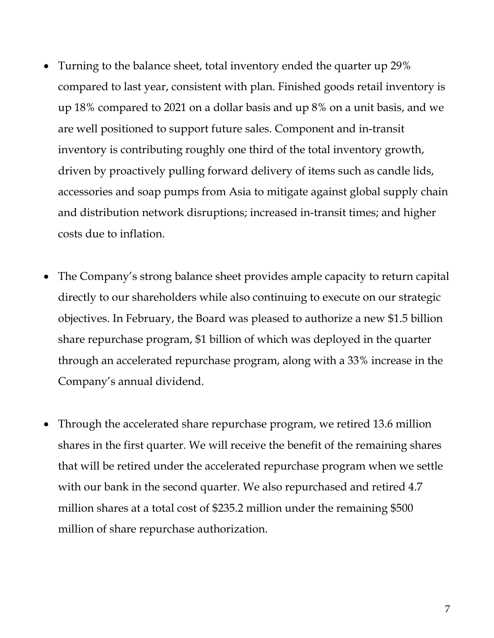- Turning to the balance sheet, total inventory ended the quarter up 29% compared to last year, consistent with plan. Finished goods retail inventory is up 18% compared to 2021 on a dollar basis and up 8% on a unit basis, and we are well positioned to support future sales. Component and in-transit inventory is contributing roughly one third of the total inventory growth, driven by proactively pulling forward delivery of items such as candle lids, accessories and soap pumps from Asia to mitigate against global supply chain and distribution network disruptions; increased in-transit times; and higher costs due to inflation.
- The Company's strong balance sheet provides ample capacity to return capital directly to our shareholders while also continuing to execute on our strategic objectives. In February, the Board was pleased to authorize a new \$1.5 billion share repurchase program, \$1 billion of which was deployed in the quarter through an accelerated repurchase program, along with a 33% increase in the Company's annual dividend.
- Through the accelerated share repurchase program, we retired 13.6 million shares in the first quarter. We will receive the benefit of the remaining shares that will be retired under the accelerated repurchase program when we settle with our bank in the second quarter. We also repurchased and retired 4.7 million shares at a total cost of \$235.2 million under the remaining \$500 million of share repurchase authorization.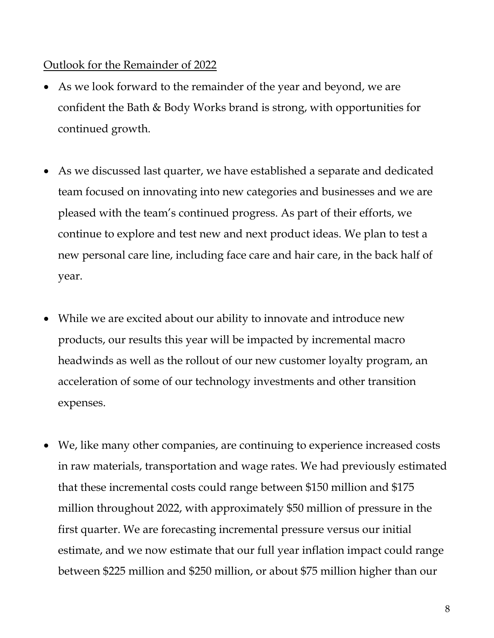#### Outlook for the Remainder of 2022

- As we look forward to the remainder of the year and beyond, we are confident the Bath & Body Works brand is strong, with opportunities for continued growth.
- As we discussed last quarter, we have established a separate and dedicated team focused on innovating into new categories and businesses and we are pleased with the team's continued progress. As part of their efforts, we continue to explore and test new and next product ideas. We plan to test a new personal care line, including face care and hair care, in the back half of year.
- While we are excited about our ability to innovate and introduce new products, our results this year will be impacted by incremental macro headwinds as well as the rollout of our new customer loyalty program, an acceleration of some of our technology investments and other transition expenses.
- We, like many other companies, are continuing to experience increased costs in raw materials, transportation and wage rates. We had previously estimated that these incremental costs could range between \$150 million and \$175 million throughout 2022, with approximately \$50 million of pressure in the first quarter. We are forecasting incremental pressure versus our initial estimate, and we now estimate that our full year inflation impact could range between \$225 million and \$250 million, or about \$75 million higher than our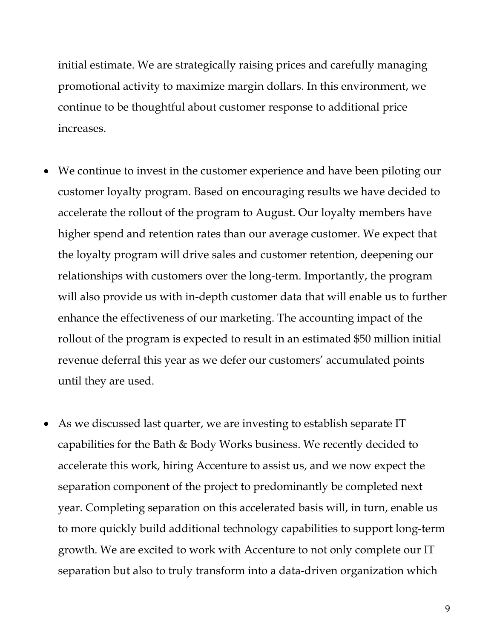initial estimate. We are strategically raising prices and carefully managing promotional activity to maximize margin dollars. In this environment, we continue to be thoughtful about customer response to additional price increases.

- We continue to invest in the customer experience and have been piloting our customer loyalty program. Based on encouraging results we have decided to accelerate the rollout of the program to August. Our loyalty members have higher spend and retention rates than our average customer. We expect that the loyalty program will drive sales and customer retention, deepening our relationships with customers over the long-term. Importantly, the program will also provide us with in-depth customer data that will enable us to further enhance the effectiveness of our marketing. The accounting impact of the rollout of the program is expected to result in an estimated \$50 million initial revenue deferral this year as we defer our customers' accumulated points until they are used.
- As we discussed last quarter, we are investing to establish separate IT capabilities for the Bath & Body Works business. We recently decided to accelerate this work, hiring Accenture to assist us, and we now expect the separation component of the project to predominantly be completed next year. Completing separation on this accelerated basis will, in turn, enable us to more quickly build additional technology capabilities to support long-term growth. We are excited to work with Accenture to not only complete our IT separation but also to truly transform into a data-driven organization which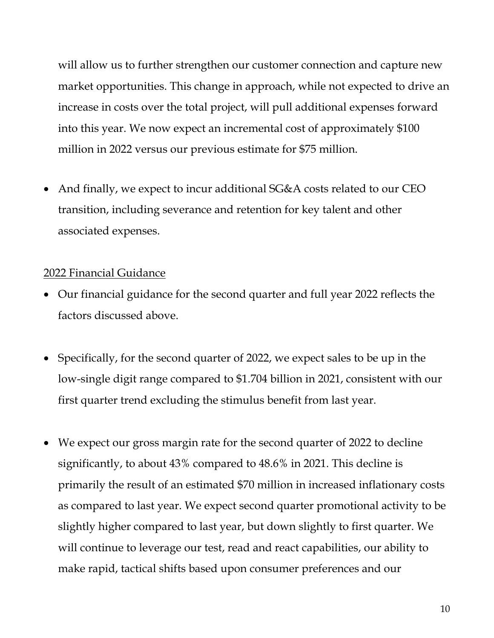will allow us to further strengthen our customer connection and capture new market opportunities. This change in approach, while not expected to drive an increase in costs over the total project, will pull additional expenses forward into this year. We now expect an incremental cost of approximately \$100 million in 2022 versus our previous estimate for \$75 million.

 And finally, we expect to incur additional SG&A costs related to our CEO transition, including severance and retention for key talent and other associated expenses.

#### 2022 Financial Guidance

- Our financial guidance for the second quarter and full year 2022 reflects the factors discussed above.
- Specifically, for the second quarter of 2022, we expect sales to be up in the low-single digit range compared to \$1.704 billion in 2021, consistent with our first quarter trend excluding the stimulus benefit from last year.
- We expect our gross margin rate for the second quarter of 2022 to decline significantly, to about 43% compared to 48.6% in 2021. This decline is primarily the result of an estimated \$70 million in increased inflationary costs as compared to last year. We expect second quarter promotional activity to be slightly higher compared to last year, but down slightly to first quarter. We will continue to leverage our test, read and react capabilities, our ability to make rapid, tactical shifts based upon consumer preferences and our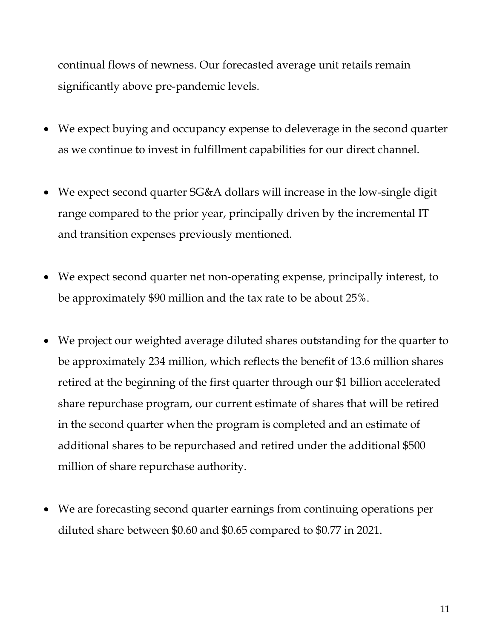continual flows of newness. Our forecasted average unit retails remain significantly above pre-pandemic levels.

- We expect buying and occupancy expense to deleverage in the second quarter as we continue to invest in fulfillment capabilities for our direct channel.
- We expect second quarter SG&A dollars will increase in the low-single digit range compared to the prior year, principally driven by the incremental IT and transition expenses previously mentioned.
- We expect second quarter net non-operating expense, principally interest, to be approximately \$90 million and the tax rate to be about 25%.
- We project our weighted average diluted shares outstanding for the quarter to be approximately 234 million, which reflects the benefit of 13.6 million shares retired at the beginning of the first quarter through our \$1 billion accelerated share repurchase program, our current estimate of shares that will be retired in the second quarter when the program is completed and an estimate of additional shares to be repurchased and retired under the additional \$500 million of share repurchase authority.
- We are forecasting second quarter earnings from continuing operations per diluted share between \$0.60 and \$0.65 compared to \$0.77 in 2021.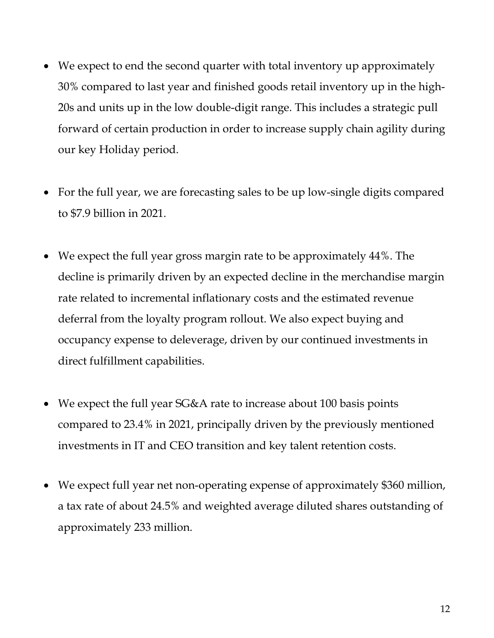- We expect to end the second quarter with total inventory up approximately 30% compared to last year and finished goods retail inventory up in the high-20s and units up in the low double-digit range. This includes a strategic pull forward of certain production in order to increase supply chain agility during our key Holiday period.
- For the full year, we are forecasting sales to be up low-single digits compared to \$7.9 billion in 2021.
- We expect the full year gross margin rate to be approximately 44%. The decline is primarily driven by an expected decline in the merchandise margin rate related to incremental inflationary costs and the estimated revenue deferral from the loyalty program rollout. We also expect buying and occupancy expense to deleverage, driven by our continued investments in direct fulfillment capabilities.
- We expect the full year SG&A rate to increase about 100 basis points compared to 23.4% in 2021, principally driven by the previously mentioned investments in IT and CEO transition and key talent retention costs.
- We expect full year net non-operating expense of approximately \$360 million, a tax rate of about 24.5% and weighted average diluted shares outstanding of approximately 233 million.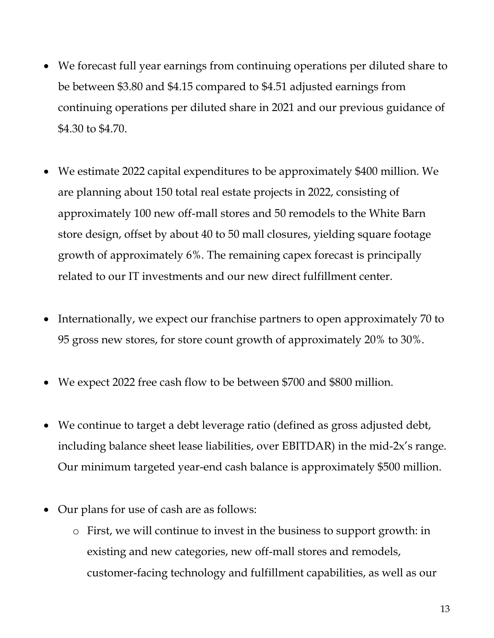- We forecast full year earnings from continuing operations per diluted share to be between \$3.80 and \$4.15 compared to \$4.51 adjusted earnings from continuing operations per diluted share in 2021 and our previous guidance of \$4.30 to \$4.70.
- We estimate 2022 capital expenditures to be approximately \$400 million. We are planning about 150 total real estate projects in 2022, consisting of approximately 100 new off-mall stores and 50 remodels to the White Barn store design, offset by about 40 to 50 mall closures, yielding square footage growth of approximately 6%. The remaining capex forecast is principally related to our IT investments and our new direct fulfillment center.
- Internationally, we expect our franchise partners to open approximately 70 to 95 gross new stores, for store count growth of approximately 20% to 30%.
- We expect 2022 free cash flow to be between \$700 and \$800 million.
- We continue to target a debt leverage ratio (defined as gross adjusted debt, including balance sheet lease liabilities, over EBITDAR) in the mid-2x's range. Our minimum targeted year-end cash balance is approximately \$500 million.
- Our plans for use of cash are as follows:
	- o First, we will continue to invest in the business to support growth: in existing and new categories, new off-mall stores and remodels, customer-facing technology and fulfillment capabilities, as well as our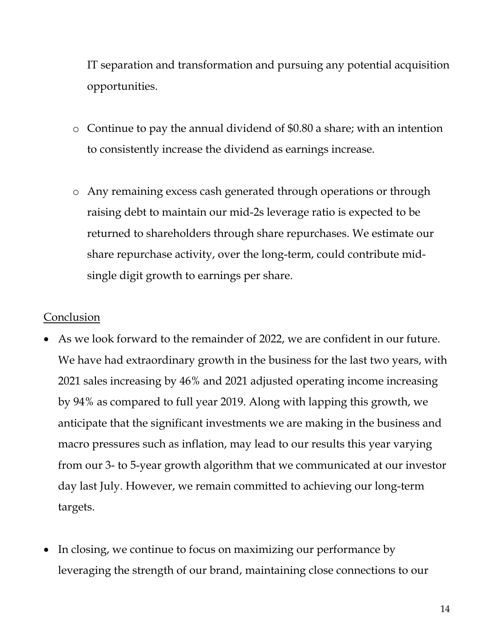IT separation and transformation and pursuing any potential acquisition opportunities.

- o Continue to pay the annual dividend of \$0.80 a share; with an intention to consistently increase the dividend as earnings increase.
- o Any remaining excess cash generated through operations or through raising debt to maintain our mid-2s leverage ratio is expected to be returned to shareholders through share repurchases. We estimate our share repurchase activity, over the long-term, could contribute midsingle digit growth to earnings per share.

#### Conclusion

- As we look forward to the remainder of 2022, we are confident in our future. We have had extraordinary growth in the business for the last two years, with 2021 sales increasing by 46% and 2021 adjusted operating income increasing by 94% as compared to full year 2019. Along with lapping this growth, we anticipate that the significant investments we are making in the business and macro pressures such as inflation, may lead to our results this year varying from our 3- to 5-year growth algorithm that we communicated at our investor day last July. However, we remain committed to achieving our long-term targets.
- In closing, we continue to focus on maximizing our performance by leveraging the strength of our brand, maintaining close connections to our